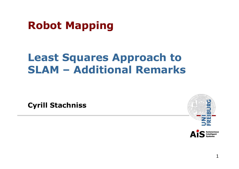## **Robot Mapping**

#### **Least Squares Approach to SLAM – Additional Remarks**

**Cyrill Stachniss** 



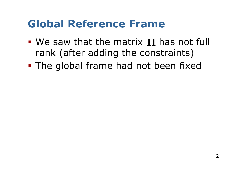### **Global Reference Frame**

- We saw that the matrix H has not full rank (after adding the constraints)
- § The global frame had not been fixed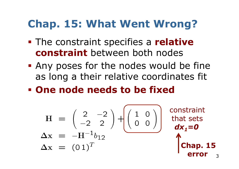## **Chap. 15: What Went Wrong?**

- § The constraint specifies a **relative constraint** between both nodes
- § Any poses for the nodes would be fine as long a their relative coordinates fit
- § **One node needs to be fixed**

$$
H = \begin{pmatrix} 2 & -2 \\ -2 & 2 \end{pmatrix} + \begin{pmatrix} 1 & 0 \\ 0 & 0 \end{pmatrix}
$$
 **constant**  
\n
$$
\Delta x = -H^{-1}b_{12}
$$
  
\n
$$
\Delta x = (01)^T
$$
  
\n**Chap. 15**  
\n**Chap. 15**  
\n**error**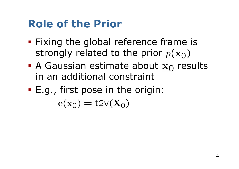# **Role of the Prior**

- § Fixing the global reference frame is strongly related to the prior  $p(\mathbf{x}_0)$
- A Gaussian estimate about  $x_0$  results in an additional constraint
- E.g., first pose in the origin:

$$
e(x_0) = t2v(X_0)
$$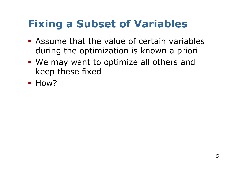# **Fixing a Subset of Variables**

- § Assume that the value of certain variables during the optimization is known a priori
- We may want to optimize all others and keep these fixed
- § How?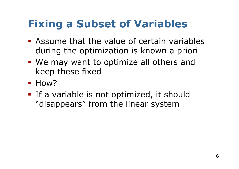# **Fixing a Subset of Variables**

- § Assume that the value of certain variables during the optimization is known a priori
- § We may want to optimize all others and keep these fixed
- § How?
- **If a variable is not optimized, it should** "disappears" from the linear system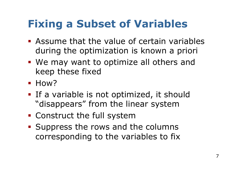# **Fixing a Subset of Variables**

- § Assume that the value of certain variables during the optimization is known a priori
- We may want to optimize all others and keep these fixed
- § How?
- **If a variable is not optimized, it should** "disappears" from the linear system
- § Construct the full system
- § Suppress the rows and the columns corresponding to the variables to fix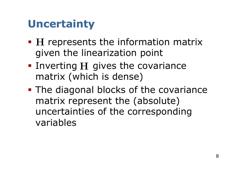# **Uncertainty**

- **H** represents the information matrix given the linearization point
- **Inverting**  $H$  **gives the covariance** matrix (which is dense)
- The diagonal blocks of the covariance matrix represent the (absolute) uncertainties of the corresponding variables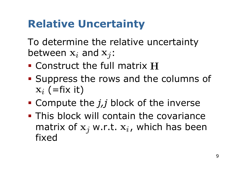# **Relative Uncertainty**

To determine the relative uncertainty between  $x_i$  and  $x_j$ :

- Construct the full matrix H
- § Suppress the rows and the columns of  $\mathbf{x}_i$  (=fix it)
- § Compute the *j,j* block of the inverse
- § This block will contain the covariance matrix of  $x_i$  w.r.t.  $x_i$ , which has been fixed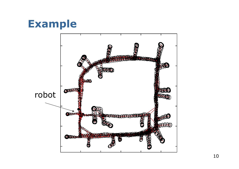#### **Example**